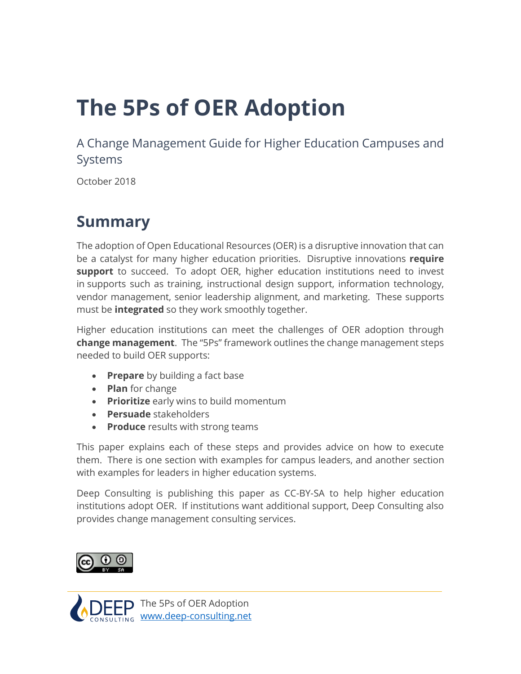# **The 5Ps of OER Adoption**

A Change Management Guide for Higher Education Campuses and Systems

October 2018

# **Summary**

The adoption of Open Educational Resources (OER) is a disruptive innovation that can be a catalyst for many higher education priorities. Disruptive innovations **require support** to succeed. To adopt OER, higher education institutions need to invest in supports such as training, instructional design support, information technology, vendor management, senior leadership alignment, and marketing. These supports must be **integrated** so they work smoothly together.

Higher education institutions can meet the challenges of OER adoption through **change management**. The "5Ps" framework outlines the change management steps needed to build OER supports:

- **Prepare** by building a fact base
- **Plan** for change
- **Prioritize** early wins to build momentum
- **Persuade** stakeholders
- **Produce** results with strong teams

This paper explains each of these steps and provides advice on how to execute them. There is one section with examples for campus leaders, and another section with examples for leaders in higher education systems.

Deep Consulting is publishing this paper as CC-BY-SA to help higher education institutions adopt OER. If institutions want additional support, Deep Consulting also provides change management consulting services.



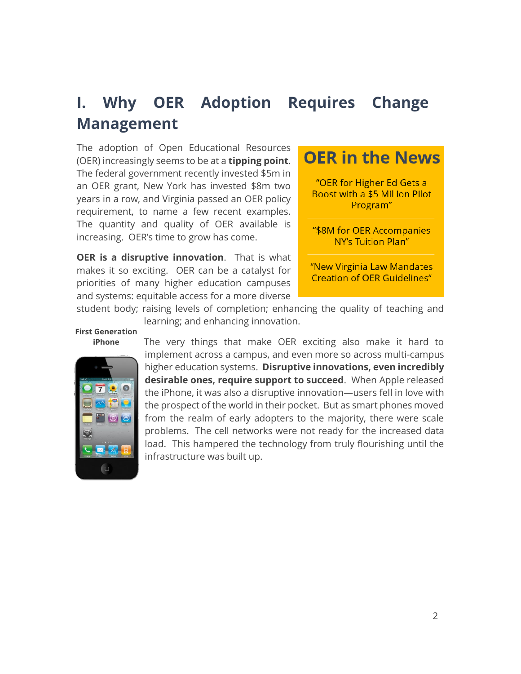# **I. Why OER Adoption Requires Change Management**

The adoption of Open Educational Resources (OER) increasingly seems to be at a **tipping point**. The federal government recently invested \$5m in an OER grant, New York has invested \$8m two years in a row, and Virginia passed an OER policy requirement, to name a few recent examples. The quantity and quality of OER available is increasing. OER's time to grow has come.

**OER is a disruptive innovation**. That is what makes it so exciting. OER can be a catalyst for priorities of many higher education campuses and systems: equitable access for a more diverse

# **OER in the News** "OER for Higher Ed Gets a Boost with a \$5 Million Pilot Program" "\$8M for OER Accompanies **NY's Tuition Plan"**

"New Virginia Law Mandates **Creation of OER Guidelines"** 

student body; raising levels of completion; enhancing the quality of teaching and learning; and enhancing innovation.

#### **First Generation iPhone**



The very things that make OER exciting also make it hard to implement across a campus, and even more so across multi-campus higher education systems. **Disruptive innovations, even incredibly desirable ones, require support to succeed**. When Apple released the iPhone, it was also a disruptive innovation—users fell in love with the prospect of the world in their pocket. But as smart phones moved from the realm of early adopters to the majority, there were scale problems. The cell networks were not ready for the increased data load. This hampered the technology from truly flourishing until the infrastructure was built up.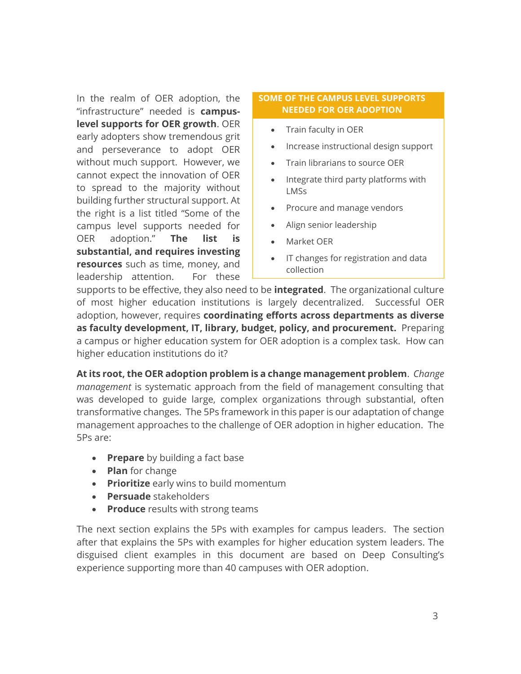In the realm of OER adoption, the "infrastructure" needed is **campuslevel supports for OER growth**. OER early adopters show tremendous grit and perseverance to adopt OER without much support. However, we cannot expect the innovation of OER to spread to the majority without building further structural support. At the right is a list titled "Some of the campus level supports needed for OER adoption." **The list is substantial, and requires investing resources** such as time, money, and leadership attention. For these

#### **SOME OF THE CAMPUS LEVEL SUPPORTS NEEDED FOR OER ADOPTION**

- Train faculty in OER
- Increase instructional design support
- Train librarians to source OER
- Integrate third party platforms with LMSs
- Procure and manage vendors
- Align senior leadership
- Market OER
- IT changes for registration and data collection

supports to be effective, they also need to be **integrated**. The organizational culture of most higher education institutions is largely decentralized. Successful OER adoption, however, requires **coordinating efforts across departments as diverse as faculty development, IT, library, budget, policy, and procurement.** Preparing a campus or higher education system for OER adoption is a complex task. How can higher education institutions do it?

**At its root, the OER adoption problem is a change management problem**. *Change management* is systematic approach from the field of management consulting that was developed to guide large, complex organizations through substantial, often transformative changes. The 5Ps framework in this paper is our adaptation of change management approaches to the challenge of OER adoption in higher education. The 5Ps are:

- **Prepare** by building a fact base
- **Plan** for change
- **Prioritize** early wins to build momentum
- **Persuade** stakeholders
- **Produce** results with strong teams

The next section explains the 5Ps with examples for campus leaders. The section after that explains the 5Ps with examples for higher education system leaders. The disguised client examples in this document are based on Deep Consulting's experience supporting more than 40 campuses with OER adoption.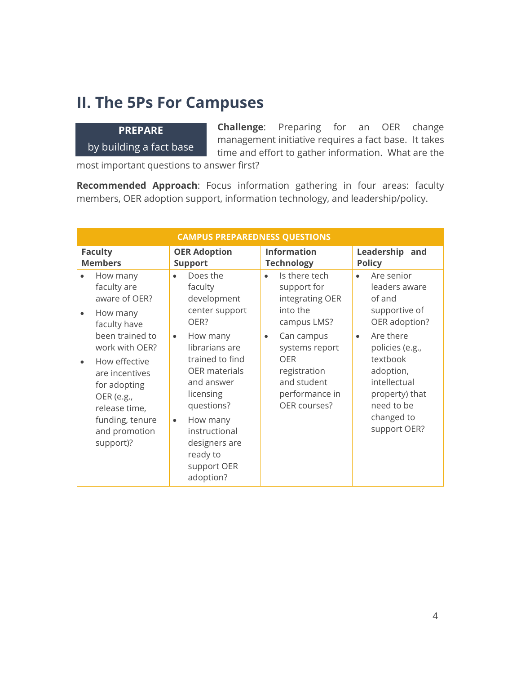### **II. The 5Ps For Campuses**

### **PREPARE**  by building a fact base

**Challenge**: Preparing for an OER change management initiative requires a fact base. It takes time and effort to gather information. What are the

most important questions to answer first?

**Recommended Approach**: Focus information gathering in four areas: faculty members, OER adoption support, information technology, and leadership/policy.

| <b>CAMPUS PREPAREDNESS QUESTIONS</b>                                                                                                                                 |                                                                                                                                                                                                                                |                                                                                                                   |                                                                                                                                     |  |
|----------------------------------------------------------------------------------------------------------------------------------------------------------------------|--------------------------------------------------------------------------------------------------------------------------------------------------------------------------------------------------------------------------------|-------------------------------------------------------------------------------------------------------------------|-------------------------------------------------------------------------------------------------------------------------------------|--|
| <b>Faculty</b><br><b>Members</b>                                                                                                                                     | <b>OER Adoption</b><br><b>Support</b>                                                                                                                                                                                          | <b>Information</b><br><b>Technology</b>                                                                           | Leadership and<br><b>Policy</b>                                                                                                     |  |
| How many<br>faculty are<br>aware of OER?<br>How many<br>faculty have                                                                                                 | Does the<br>$\bullet$<br>faculty<br>development<br>center support<br>OER?                                                                                                                                                      | Is there tech<br>$\bullet$<br>support for<br>integrating OER<br>into the<br>campus LMS?                           | Are senior<br>$\bullet$<br>leaders aware<br>of and<br>supportive of<br>OER adoption?                                                |  |
| been trained to<br>work with OER?<br>How effective<br>are incentives<br>for adopting<br>OER (e.g.,<br>release time,<br>funding, tenure<br>and promotion<br>support)? | How many<br>$\bullet$<br>librarians are<br>trained to find<br><b>OER</b> materials<br>and answer<br>licensing<br>questions?<br>How many<br>$\bullet$<br>instructional<br>designers are<br>ready to<br>support OER<br>adoption? | Can campus<br>$\bullet$<br>systems report<br>OFR<br>registration<br>and student<br>performance in<br>OER courses? | Are there<br>policies (e.g.,<br>textbook<br>adoption,<br>intellectual<br>property) that<br>need to be<br>changed to<br>support OER? |  |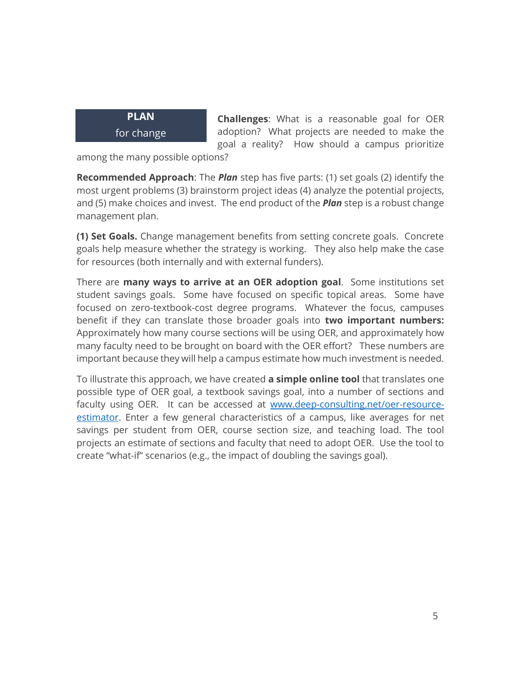

**Challenges**: What is a reasonable goal for OER adoption? What projects are needed to make the goal a reality? How should a campus prioritize

among the many possible options?

**Recommended Approach**: The *Plan* step has five parts: (1) set goals (2) identify the most urgent problems (3) brainstorm project ideas (4) analyze the potential projects, and (5) make choices and invest. The end product of the *Plan* step is a robust change management plan.

**(1) Set Goals.** Change management benefits from setting concrete goals. Concrete goals help measure whether the strategy is working. They also help make the case for resources (both internally and with external funders).

There are **many ways to arrive at an OER adoption goal**. Some institutions set student savings goals. Some have focused on specific topical areas. Some have focused on zero-textbook-cost degree programs. Whatever the focus, campuses benefit if they can translate those broader goals into **two important numbers:** Approximately how many course sections will be using OER, and approximately how many faculty need to be brought on board with the OER effort? These numbers are important because they will help a campus estimate how much investment is needed.

To illustrate this approach, we have created **a simple online tool** that translates one possible type of OER goal, a textbook savings goal, into a number of sections and faculty using OER. It can be accessed at [www.deep-consulting.net/oer-resource](http://www.deep-consulting.net/oer-resource-estimator)[estimator.](http://www.deep-consulting.net/oer-resource-estimator) Enter a few general characteristics of a campus, like averages for net savings per student from OER, course section size, and teaching load. The tool projects an estimate of sections and faculty that need to adopt OER. Use the tool to create "what-if" scenarios (e.g., the impact of doubling the savings goal).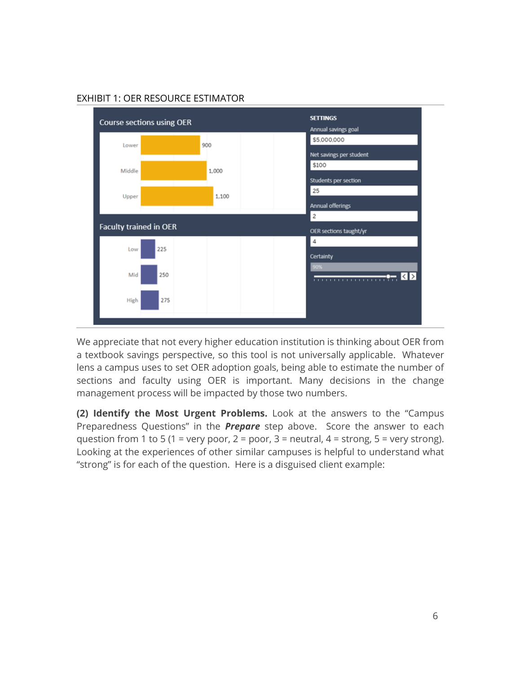

#### EXHIBIT 1: OER RESOURCE ESTIMATOR

We appreciate that not every higher education institution is thinking about OER from a textbook savings perspective, so this tool is not universally applicable. Whatever lens a campus uses to set OER adoption goals, being able to estimate the number of sections and faculty using OER is important. Many decisions in the change management process will be impacted by those two numbers.

**(2) Identify the Most Urgent Problems.** Look at the answers to the "Campus Preparedness Questions" in the *Prepare* step above. Score the answer to each question from 1 to 5 (1 = very poor, 2 = poor, 3 = neutral, 4 = strong, 5 = very strong). Looking at the experiences of other similar campuses is helpful to understand what "strong" is for each of the question. Here is a disguised client example: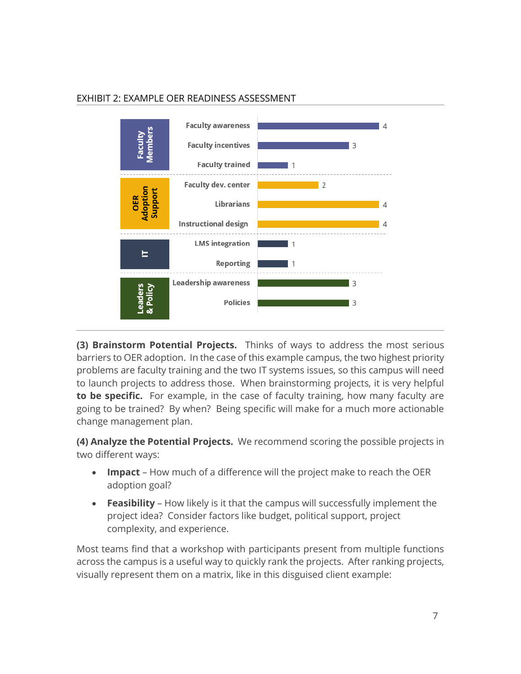



**(3) Brainstorm Potential Projects.** Thinks of ways to address the most serious barriers to OER adoption. In the case of this example campus, the two highest priority problems are faculty training and the two IT systems issues, so this campus will need to launch projects to address those. When brainstorming projects, it is very helpful **to be specific.** For example, in the case of faculty training, how many faculty are going to be trained? By when? Being specific will make for a much more actionable change management plan.

**(4) Analyze the Potential Projects.** We recommend scoring the possible projects in two different ways:

- **Impact** How much of a difference will the project make to reach the OER adoption goal?
- **Feasibility** How likely is it that the campus will successfully implement the project idea? Consider factors like budget, political support, project complexity, and experience.

Most teams find that a workshop with participants present from multiple functions across the campus is a useful way to quickly rank the projects. After ranking projects, visually represent them on a matrix, like in this disguised client example: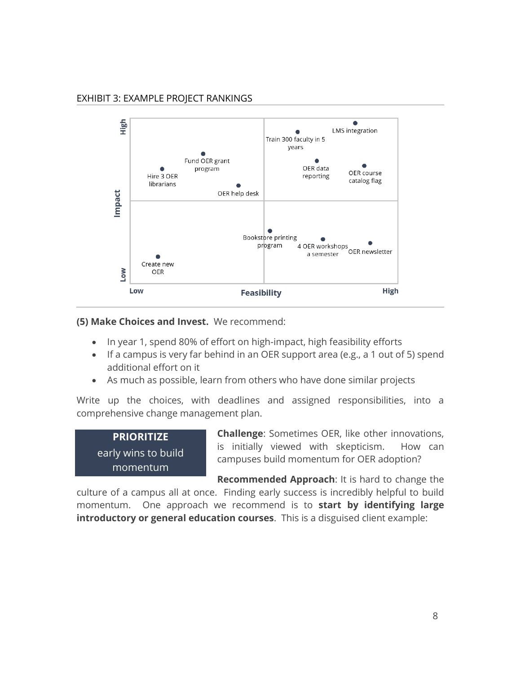#### EXHIBIT 3: EXAMPLE PROJECT RANKINGS



#### **(5) Make Choices and Invest.** We recommend:

- In year 1, spend 80% of effort on high-impact, high feasibility efforts
- If a campus is very far behind in an OER support area (e.g., a 1 out of 5) spend additional effort on it
- As much as possible, learn from others who have done similar projects

Write up the choices, with deadlines and assigned responsibilities, into a comprehensive change management plan.

| <b>PRIORITIZE</b>   |  |  |  |
|---------------------|--|--|--|
| early wins to build |  |  |  |
| momentum            |  |  |  |

**Challenge**: Sometimes OER, like other innovations, is initially viewed with skepticism. How can campuses build momentum for OER adoption?

**Recommended Approach**: It is hard to change the

culture of a campus all at once. Finding early success is incredibly helpful to build momentum. One approach we recommend is to **start by identifying large introductory or general education courses**. This is a disguised client example: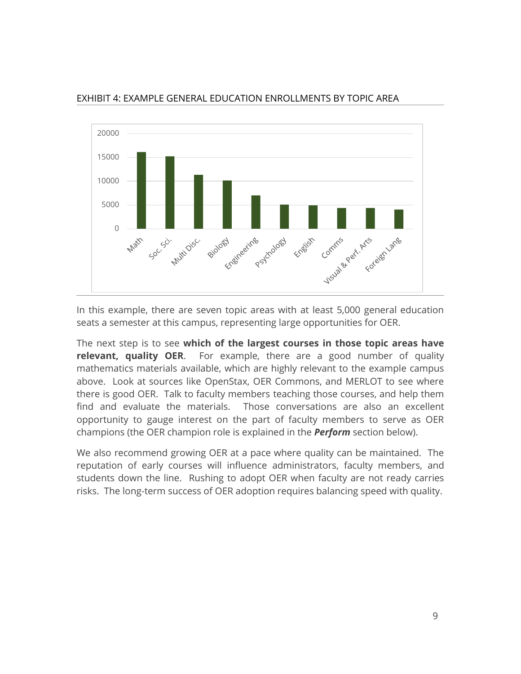

#### EXHIBIT 4: EXAMPLE GENERAL EDUCATION ENROLLMENTS BY TOPIC AREA

In this example, there are seven topic areas with at least 5,000 general education seats a semester at this campus, representing large opportunities for OER.

The next step is to see **which of the largest courses in those topic areas have relevant, quality OER**. For example, there are a good number of quality mathematics materials available, which are highly relevant to the example campus above. Look at sources like OpenStax, OER Commons, and MERLOT to see where there is good OER. Talk to faculty members teaching those courses, and help them find and evaluate the materials. Those conversations are also an excellent opportunity to gauge interest on the part of faculty members to serve as OER champions (the OER champion role is explained in the *Perform* section below).

We also recommend growing OER at a pace where quality can be maintained. The reputation of early courses will influence administrators, faculty members, and students down the line. Rushing to adopt OER when faculty are not ready carries risks. The long-term success of OER adoption requires balancing speed with quality.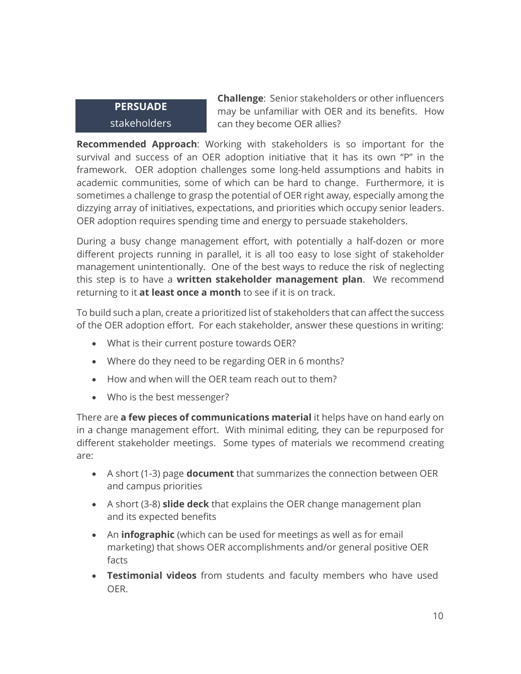### **PERSUADE**  stakeholders

**Challenge**: Senior stakeholders or other influencers may be unfamiliar with OER and its benefits. How can they become OER allies?

**Recommended Approach**: Working with stakeholders is so important for the survival and success of an OER adoption initiative that it has its own "P" in the framework. OER adoption challenges some long-held assumptions and habits in academic communities, some of which can be hard to change. Furthermore, it is sometimes a challenge to grasp the potential of OER right away, especially among the dizzying array of initiatives, expectations, and priorities which occupy senior leaders. OER adoption requires spending time and energy to persuade stakeholders.

During a busy change management effort, with potentially a half-dozen or more different projects running in parallel, it is all too easy to lose sight of stakeholder management unintentionally. One of the best ways to reduce the risk of neglecting this step is to have a **written stakeholder management plan**. We recommend returning to it **at least once a month** to see if it is on track.

To build such a plan, create a prioritized list of stakeholders that can affect the success of the OER adoption effort. For each stakeholder, answer these questions in writing:

- What is their current posture towards OER?
- Where do they need to be regarding OER in 6 months?
- How and when will the OER team reach out to them?
- Who is the best messenger?

There are **a few pieces of communications material** it helps have on hand early on in a change management effort. With minimal editing, they can be repurposed for different stakeholder meetings. Some types of materials we recommend creating are:

- A short (1-3) page **document** that summarizes the connection between OER and campus priorities
- A short (3-8) **slide deck** that explains the OER change management plan and its expected benefits
- An **infographic** (which can be used for meetings as well as for email marketing) that shows OER accomplishments and/or general positive OER facts
- **Testimonial videos** from students and faculty members who have used OER.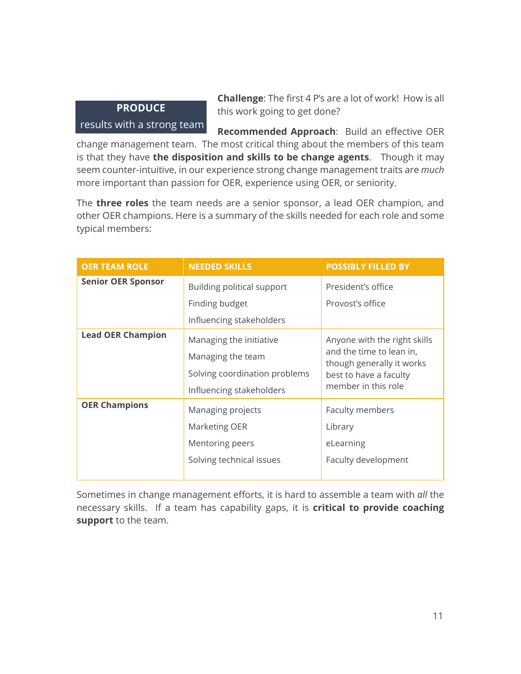#### **PRODUCE**

#### results with a strong team

**Challenge**: The first 4 P's are a lot of work! How is all this work going to get done?

**Recommended Approach**: Build an effective OER change management team. The most critical thing about the members of this team is that they have **the disposition and skills to be change agents**. Though it may seem counter-intuitive, in our experience strong change management traits are *much* more important than passion for OER, experience using OER, or seniority.

The **three roles** the team needs are a senior sponsor, a lead OER champion, and other OER champions. Here is a summary of the skills needed for each role and some typical members:

| <b>OER TEAM ROLE</b>      | <b>NEEDED SKILLS</b>                                                                                      | <b>POSSIBLY FILLED BY</b>                                                                                                              |  |
|---------------------------|-----------------------------------------------------------------------------------------------------------|----------------------------------------------------------------------------------------------------------------------------------------|--|
| <b>Senior OER Sponsor</b> | Building political support                                                                                | President's office                                                                                                                     |  |
|                           | Finding budget                                                                                            | Provost's office                                                                                                                       |  |
|                           | Influencing stakeholders                                                                                  |                                                                                                                                        |  |
| <b>Lead OER Champion</b>  | Managing the initiative<br>Managing the team<br>Solving coordination problems<br>Influencing stakeholders | Anyone with the right skills<br>and the time to lean in,<br>though generally it works<br>best to have a faculty<br>member in this role |  |
| <b>OER Champions</b>      | Managing projects<br>Marketing OER<br>Mentoring peers<br>Solving technical issues                         | Faculty members<br>Library<br>eLearning<br>Faculty development                                                                         |  |

Sometimes in change management efforts, it is hard to assemble a team with *all* the necessary skills. If a team has capability gaps, it is **critical to provide coaching support** to the team.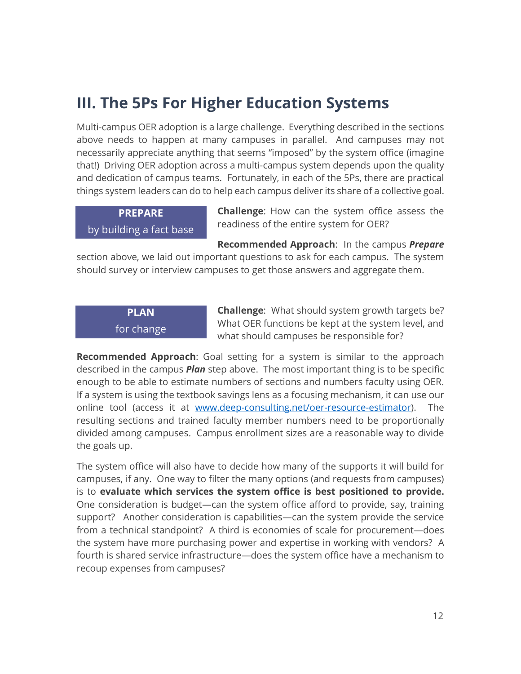# **III. The 5Ps For Higher Education Systems**

Multi-campus OER adoption is a large challenge. Everything described in the sections above needs to happen at many campuses in parallel. And campuses may not necessarily appreciate anything that seems "imposed" by the system office (imagine that!) Driving OER adoption across a multi-campus system depends upon the quality and dedication of campus teams. Fortunately, in each of the 5Ps, there are practical things system leaders can do to help each campus deliver its share of a collective goal.

### **PREPARE**  by building a fact base

**Challenge**: How can the system office assess the readiness of the entire system for OER?

**Recommended Approach**: In the campus *Prepare*

section above, we laid out important questions to ask for each campus. The system should survey or interview campuses to get those answers and aggregate them.

### **PLAN** for change

**Challenge**: What should system growth targets be? What OER functions be kept at the system level, and what should campuses be responsible for?

**Recommended Approach**: Goal setting for a system is similar to the approach described in the campus *Plan* step above. The most important thing is to be specific enough to be able to estimate numbers of sections and numbers faculty using OER. If a system is using the textbook savings lens as a focusing mechanism, it can use our online tool (access it at [www.deep-consulting.net/oer-resource-estimator\)](http://www.deep-consulting.net/oer-resource-estimator). The resulting sections and trained faculty member numbers need to be proportionally divided among campuses. Campus enrollment sizes are a reasonable way to divide the goals up.

The system office will also have to decide how many of the supports it will build for campuses, if any. One way to filter the many options (and requests from campuses) is to **evaluate which services the system office is best positioned to provide.** One consideration is budget—can the system office afford to provide, say, training support? Another consideration is capabilities—can the system provide the service from a technical standpoint? A third is economies of scale for procurement—does the system have more purchasing power and expertise in working with vendors? A fourth is shared service infrastructure—does the system office have a mechanism to recoup expenses from campuses?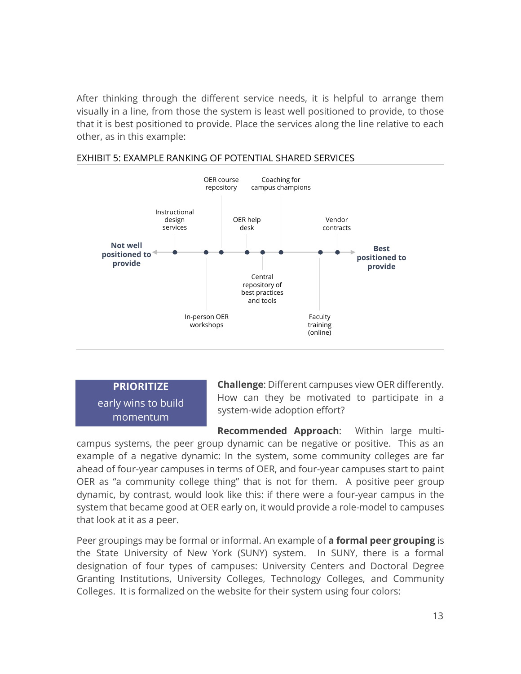After thinking through the different service needs, it is helpful to arrange them visually in a line, from those the system is least well positioned to provide, to those that it is best positioned to provide. Place the services along the line relative to each other, as in this example:



#### EXHIBIT 5: EXAMPLE RANKING OF POTENTIAL SHARED SERVICES

**PRIORITIZE**  early wins to build momentum

**Challenge**: Different campuses view OER differently. How can they be motivated to participate in a system-wide adoption effort?

**Recommended Approach**: Within large multicampus systems, the peer group dynamic can be negative or positive. This as an example of a negative dynamic: In the system, some community colleges are far ahead of four-year campuses in terms of OER, and four-year campuses start to paint OER as "a community college thing" that is not for them. A positive peer group dynamic, by contrast, would look like this: if there were a four-year campus in the system that became good at OER early on, it would provide a role-model to campuses that look at it as a peer.

Peer groupings may be formal or informal. An example of **a formal peer grouping** is the State University of New York (SUNY) system. In SUNY, there is a formal designation of four types of campuses: University Centers and Doctoral Degree Granting Institutions, University Colleges, Technology Colleges, and Community Colleges. It is formalized on the website for their system using four colors: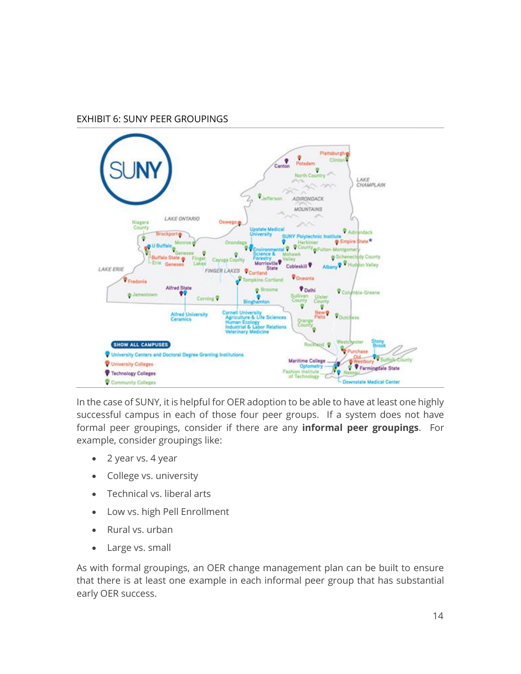#### EXHIBIT 6: SUNY PEER GROUPINGS



In the case of SUNY, it is helpful for OER adoption to be able to have at least one highly successful campus in each of those four peer groups. If a system does not have formal peer groupings, consider if there are any **informal peer groupings**. For example, consider groupings like:

- 2 year vs. 4 year
- College vs. university
- Technical vs. liberal arts
- Low vs. high Pell Enrollment
- Rural vs. urban
- Large vs. small

As with formal groupings, an OER change management plan can be built to ensure that there is at least one example in each informal peer group that has substantial early OER success.